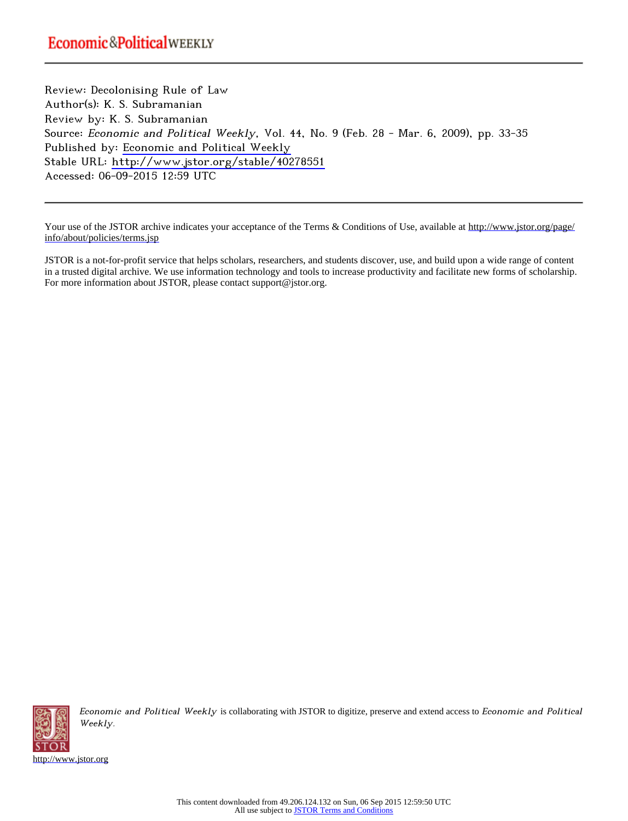Review: Decolonising Rule of Law Author(s): K. S. Subramanian Review by: K. S. Subramanian Source: Economic and Political Weekly, Vol. 44, No. 9 (Feb. 28 - Mar. 6, 2009), pp. 33-35 Published by: [Economic and Political Weekly](http://www.jstor.org/action/showPublisher?publisherCode=epw) Stable URL: <http://www.jstor.org/stable/40278551> Accessed: 06-09-2015 12:59 UTC

Your use of the JSTOR archive indicates your acceptance of the Terms & Conditions of Use, available at [http://www.jstor.org/page/](http://www.jstor.org/page/info/about/policies/terms.jsp) [info/about/policies/terms.jsp](http://www.jstor.org/page/info/about/policies/terms.jsp)

JSTOR is a not-for-profit service that helps scholars, researchers, and students discover, use, and build upon a wide range of content in a trusted digital archive. We use information technology and tools to increase productivity and facilitate new forms of scholarship. For more information about JSTOR, please contact support@jstor.org.



Economic and Political Weekly is collaborating with JSTOR to digitize, preserve and extend access to Economic and Political Weekly.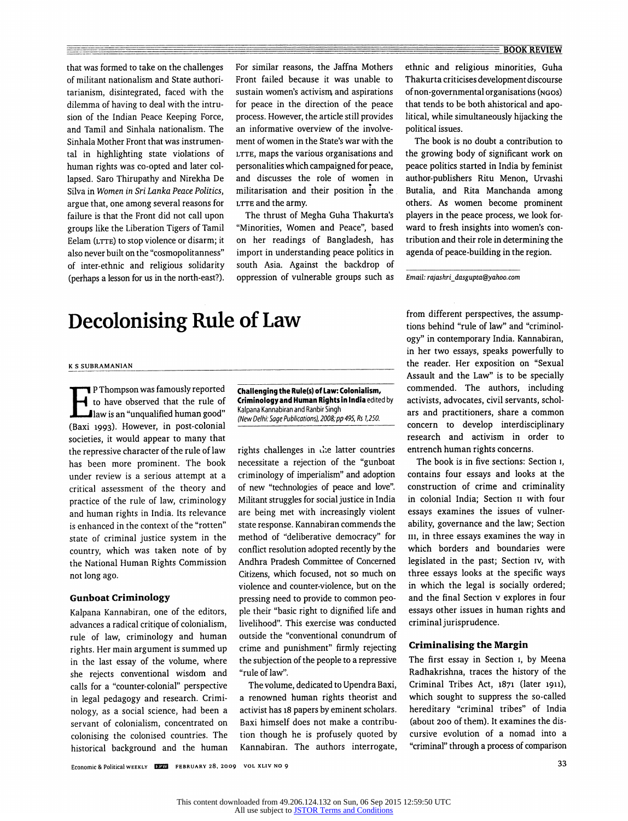that was formed to take on the challenges of militant nationalism and State authoritarianism, disintegrated, faced with the dilemma of having to deal with the intrusion of the Indian Peace Keeping Force, and Tamil and Sinhala nationalism. The Sinhala Mother Front that was instrumental in highlighting state violations of human rights was co-opted and later collapsed. Saro Thirupathy and Nirekha De Silva in Women in Sri Lanka Peace Politics, argue that, one among several reasons for failure is that the Front did not call upon groups like the Liberation Tigers of Tamil Eelam (LTTE) to stop violence or disarm; it also never built on the "cosmopolitanness" of inter-ethnic and religious solidarity (perhaps a lesson for us in the north-east?). For similar reasons, the Jaffna Mothers Front failed because it was unable to sustain women's activism, and aspirations for peace in the direction of the peace process. However, the article still provides an informative overview of the involvement of women in the State's war with the LTTE, maps the various organisations and personalities which campaigned for peace, and discusses the role of women in militarisation and their position in the LTTE and the army.

The thrust of Megha Guha Thakurta's "Minorities, Women and Peace", based on her readings of Bangladesh, has import in understanding peace politics in south Asia. Against the backdrop of oppression of vulnerable groups such as

# Decolonising Rule of Law

#### K S SUBRAMAN1AN

P Thompson was famously reported to have observed that the rule of law is an "unqualified human good" (Baxi 1993). However, in post-colonial societies, it would appear to many that the repressive character of the rule of law has been more prominent. The book under review is a serious attempt at a critical assessment of the theory and practice of the rule of law, criminology and human rights in India. Its relevance is enhanced in the context of the "rotten" state of criminal justice system in the country, which was taken note of by the National Human Rights Commission not long ago.

## Gunboat Criminology

Kalpana Kannabiran, one of the editors, advances a radical critique of colonialism, rule of law, criminology and human rights. Her main argument is summed up in the last essay of the volume, where she rejects conventional wisdom and calls for a "counter-colonial" perspective in legal pedagogy and research. Criminology, as a social science, had been a servant of colonialism, concentrated on colonising the colonised countries. The historical background and the human Challenging the Rule(s) of Law: Colonialism, Criminology and Human Rights in India edited by Kalpana Kannabiran and Ranbir Singh (New Delhi: Sage Publications), 2008; pp 495, Rs 1,250.

rights challenges in the latter countries necessitate a rejection of the "gunboat criminology of imperialism" and adoption of new "technologies of peace and love". Militant struggles for social justice in India are being met with increasingly violent state response. Kannabiran commends the method of "deliberative democracy" for conflict resolution adopted recently by the Andhra Pradesh Committee of Concerned Citizens, which focused, not so much on violence and counter-violence, but on the pressing need to provide to common people their "basic right to dignified life and livelihood". This exercise was conducted outside the "conventional conundrum of crime and punishment" firmly rejecting the subjection of the people to a repressive "rule of law".

The volume, dedicated to Upendra Baxi, a renowned human rights theorist and activist has 18 papers by eminent scholars. Baxi himself does not make a contribution though he is profusely quoted by Kannabiran. The authors interrogate, ethnic and religious minorities, Guha Thakurta criticises development discourse of non-governmental organisations (ngos) that tends to be both ahistorical and apolitical, while simultaneously hijacking the political issues.

The book is no doubt a contribution to the growing body of significant work on peace politics started in India by feminist author-publishers Ritu Menon, Urvashi Butalia, and Rita Manchanda among others. As women become prominent players in the peace process, we look forward to fresh insights into women's contribution and their role in determining the agenda of peace-building in the region.

Email: rajashri\_dasgupta@yahoo. com

from different perspectives, the assumptions behind "rule of law" and "criminology" in contemporary India. Kannabiran, in her two essays, speaks powerfully to the reader. Her exposition on "Sexual Assault and the Law" is to be specially commended. The authors, including activists, advocates, civil servants, scholars and practitioners, share a common concern to develop interdisciplinary research and activism in order to entrench human rights concerns.

The book is in five sections: Section 1, contains four essays and looks at the construction of crime and criminality in colonial India; Section 11 with four essays examines the issues of vulnerability, governance and the law; Section in, in three essays examines the way in which borders and boundaries were legislated in the past; Section iv, with three essays looks at the specific ways in which the legal is socially ordered; and the final Section v explores in four essays other issues in human rights and criminal jurisprudence.

## Criminalising the Margin

The first essay in Section 1, by Meena Radhakrishna, traces the history of the Criminal Tribes Act, 1871 (later 1911), which sought to suppress the so-called hereditary "criminal tribes" of India (about 200 of them). It examines the discursive evolution of a nomad into a "criminal" through a process of comparison

Economic & Political weekly USES FEBRUARY 28, 2009 vol xliv no 9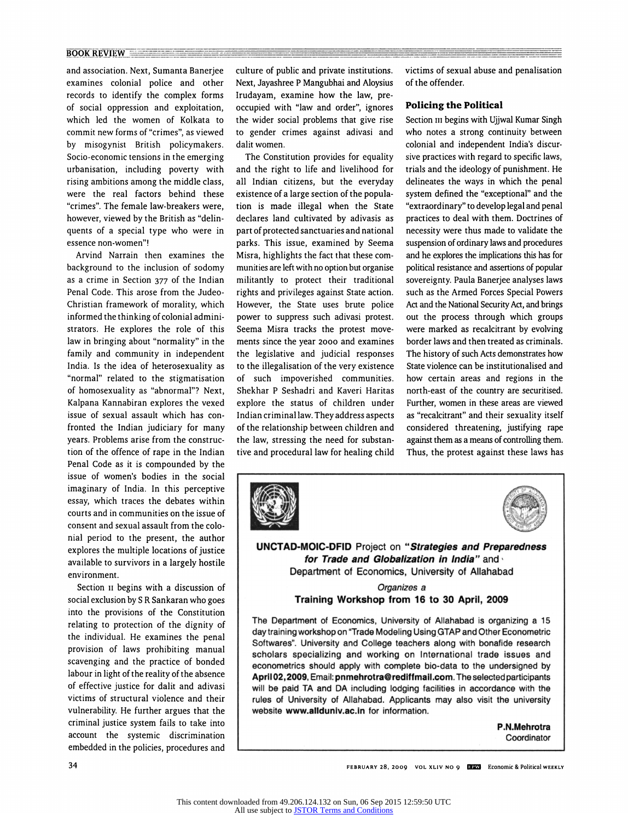## $\overline{ \text{BOOK REVIEW}} \equiv$

and association. Next, Sumanta Banerjee examines colonial police and other records to identify the complex forms of social oppression and exploitation, which led the women of Kolkata to commit new forms of "crimes", as viewed by misogynist British policymakers. Socio-economic tensions in the emerging urbanisation, including poverty with rising ambitions among the middle class, were the real factors behind these "crimes". The female law-breakers were, however, viewed by the British as "delinquents of a special type who were in essence non-women"!

Arvind Narrain then examines the background to the inclusion of sodomy as a crime in Section 377 of the Indian Penal Code. This arose from the Judeo-Christian framework of morality, which informed the thinking of colonial administrators. He explores the role of this law in bringing about "normality" in the family and community in independent India. Is the idea of heterosexuality as "normal" related to the stigmatisation of homosexuality as "abnormal"? Next, Kalpana Kannabiran explores the vexed issue of sexual assault which has confronted the Indian judiciary for many years. Problems arise from the construction of the offence of rape in the Indian Penal Code as it is compounded by the issue of women's bodies in the social imaginary of India. In this perceptive essay, which traces the debates within courts and in communities on the issue of consent and sexual assault from the colonial period to the present, the author explores the multiple locations of justice available to survivors in a largely hostile environment.

Section 11 begins with a discussion of social exclusion by S R Sankaran who goes into the provisions of the Constitution relating to protection of the dignity of the individual. He examines the penal provision of laws prohibiting manual scavenging and the practice of bonded labour in light of the reality of the absence of effective justice for dalit and adivasi victims of structural violence and their vulnerability. He further argues that the criminal justice system fails to take into account the systemic discrimination embedded in the policies, procedures and

culture of public and private institutions. Next, Jayashree P Mangubhai and Aloysius Irudayam, examine how the law, preoccupied with "law and order", ignores the wider social problems that give rise to gender crimes against adivasi and dalit women.

The Constitution provides for equality and the right to life and livelihood for all Indian citizens, but the everyday existence of a large section of the population is made illegal when the State declares land cultivated by adivasis as part of protected sanctuaries and national parks. This issue, examined by Seema Misra, highlights the fact that these communities are left with no option but organise militantly to protect their traditional rights and privileges against State action. However, the State uses brute police power to suppress such adivasi protest. Seema Misra tracks the protest movements since the year 2000 and examines the legislative and judicial responses to the illegalisation of the very existence of such impoverished communities. Shekhar P Seshadri and Kaveri Haritas explore the status of children under Indian criminal law. They address aspects of the relationship between children and the law, stressing the need for substantive and procedural law for healing child victims of sexual abuse and penalisation of the offender.

# Policing the Political

Section in begins with Ujjwal Kumar Singh who notes a strong continuity between colonial and independent India's discursive practices with regard to specific laws, trials and the ideology of punishment. He delineates the ways in which the penal system defined the "exceptional" and the "extraordinary" to develop legal and penal practices to deal with them. Doctrines of necessity were thus made to validate the suspension of ordinary laws and procedures and he explores the implications this has for political resistance and assertions of popular sovereignty. Paula Banerjee analyses laws such as the Armed Forces Special Powers Act and the National Security Act, and brings out the process through which groups were marked as recalcitrant by evolving border laws and then treated as criminals. The history of such Acts demonstrates how State violence can be institutionalised and how certain areas and regions in the north-east of the country are securitised. Further, women in these areas are viewed as "recalcitrant" and their sexuality itself considered threatening, justifying rape against them as a means of controlling them. Thus, the protest against these laws has





UNCTAD-MOIC-DFID Project on "Strategies and Preparedness for Trade and Globalization in India" and Department of Economics, University of Allahabad

# Organizes a Training Workshop from 16 to 30 April, 2009

The Department of Economics, University of Allahabad is organizing a 15 day training workshop on "Trade Modeling Using GTAP and Other Econometric Softwares". University and College teachers along with bonafide research scholars specializing and working on International trade issues and econometrics should apply with complete bio-data to the undersigned by April 02, 2009, Email: pnmehrotra@rediffmail.com. The selected participants will be paid TA and DA including lodging facilities in accordance with the rules of University of Allahabad. Applicants may also visit the university website www.allduniv.ac.in for information.

> P.N.Mehrotra Coordinator